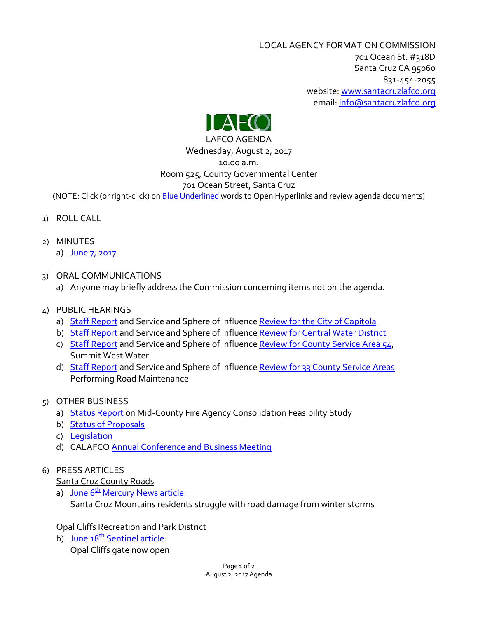LOCAL AGENCY FORMATION COMMISSION 701 Ocean St. #318D Santa Cruz CA 95060 831-454-2055 website: [www.santacruzlafco.org](http://www.santacruzlafco.org/) email[: info@santacruzlafco.org](mailto:info@santacruzlafco.org)



# LAFCO AGENDA Wednesday, August 2, 2017 10:00 a.m. Room 525, County Governmental Center 701 Ocean Street, Santa Cruz

(NOTE: Click (or right-click) on **Blue Underlined** words to Open Hyperlinks and review agenda documents)

- 1) ROLL CALL
- 2) MINUTES
	- a) [June 7, 2017](http://www.santacruzlafco.org/wp-content/uploads/2017/07/6-7-17-Minutes.pdf)
- 3) ORAL COMMUNICATIONS
	- a) Anyone may briefly address the Commission concerning items not on the agenda.
- 4) PUBLIC HEARINGS
	- a) [Staff Report](http://www.santacruzlafco.org/wp-content/uploads/2017/07/Capitola-Review-Staff-Report.pdf) and Service and Sphere of Influence [Review for the City of Capitola](http://www.santacruzlafco.org/reviews-city-capitola/)
	- b) [Staff Report](http://www.santacruzlafco.org/wp-content/uploads/2017/07/CWD-Review-Staff-Report.pdf) and Service and Sphere of Influence [Review for Central](http://www.santacruzlafco.org/cwdreview/) Water District
	- c) [Staff Report](http://www.santacruzlafco.org/wp-content/uploads/2017/07/CSA54-Review-Staff-Report.pdf) and Service and Sphere of Influence [Review for County Service Area 54,](http://www.santacruzlafco.org/review-summit-west-water-csa-54-2/) Summit West Water
	- d) [Staff Report](http://www.santacruzlafco.org/wp-content/uploads/2017/07/Road-CSAs-Review-Staff-Report.pdf) and Service and Sphere of Influence [Review for 33 County Service Areas](http://www.santacruzlafco.org/road-csas/) Performing Road Maintenance
- 5) OTHER BUSINESS
	- a) [Status Report](http://www.santacruzlafco.org/wp-content/uploads/2017/07/Fire-Study-Status-Report.pdf) on Mid-County Fire Agency Consolidation Feasibility Study
	- b) [Status of Proposals](http://www.santacruzlafco.org/wp-content/uploads/2017/07/Status-of-Proposals-7-25-17.pdf)
	- c) [Legislation](http://www.santacruzlafco.org/wp-content/uploads/2017/07/Legislative-Report-8-2-17.pdf)
	- d) CALAFCO [Annual Conference and Business Meeting](http://www.santacruzlafco.org/wp-content/uploads/2017/07/CALAFCO-Conference-2017.pdf)

# 6) PRESS ARTICLES

# Santa Cruz County Roads

a) June  $6<sup>th</sup>$  [Mercury News article:](http://www.santacruzlafco.org/wp-content/uploads/2017/07/6-6-17-Road-Damage.pdf) Santa Cruz Mountains residents struggle with road damage from winter storms

# Opal Cliffs Recreation and Park District

b) June  $18<sup>th</sup>$  [Sentinel article:](http://www.santacruzlafco.org/wp-content/uploads/2017/07/6-19-17-Opal-Cliffs.pdf) Opal Cliffs gate now open